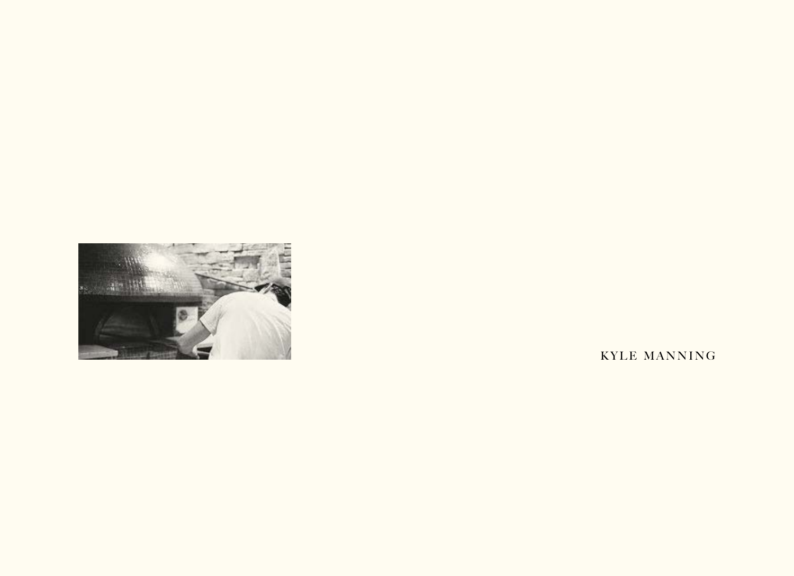

KYLE MANNING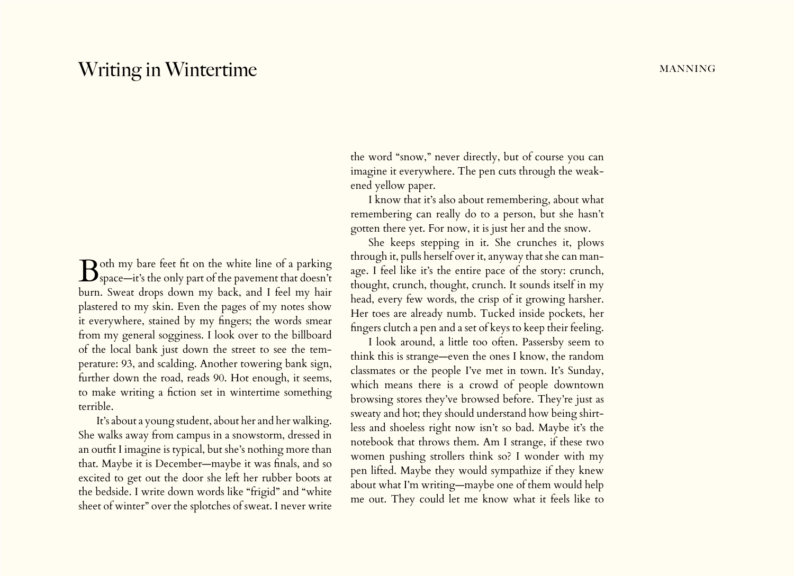## Writing in Wintertime manning manning

Both my bare feet fit on the white line of a parking<br>Space—it's the only part of the pavement that doesn't burn. Sweat drops down my back, and I feel my hair plastered to my skin. Even the pages of my notes show it everywhere, stained by my fingers; the words smear from my general sogginess. I look over to the billboard of the local bank just down the street to see the temperature: 93, and scalding. Another towering bank sign, further down the road, reads 90. Hot enough, it seems, to make writing a fiction set in wintertime something terrible.

It's about a young student, about her and her walking. She walks away from campus in a snowstorm, dressed in an outfit I imagine is typical, but she's nothing more than that. Maybe it is December—maybe it was finals, and so excited to get out the door she left her rubber boots at the bedside. I write down words like "frigid" and "white sheet of winter" over the splotches of sweat. I never write

the word "snow," never directly, but of course you can imagine it everywhere. The pen cuts through the weakened yellow paper.

I know that it's also about remembering, about what remembering can really do to a person, but she hasn't gotten there yet. For now, it is just her and the snow.

She keeps stepping in it. She crunches it, plows through it, pulls herself over it, anyway that she can manage. I feel like it's the entire pace of the story: crunch, thought, crunch, thought, crunch. It sounds itself in my head, every few words, the crisp of it growing harsher. Her toes are already numb. Tucked inside pockets, her fingers clutch a pen and a set of keys to keep their feeling.

I look around, a little too often. Passersby seem to think this is strange—even the ones I know, the random classmates or the people I've met in town. It's Sunday, which means there is a crowd of people downtown browsing stores they've browsed before. They're just as sweaty and hot; they should understand how being shirtless and shoeless right now isn't so bad. Maybe it's the notebook that throws them. Am I strange, if these two women pushing strollers think so? I wonder with my pen lifted. Maybe they would sympathize if they knew about what I'm writing—maybe one of them would help me out. They could let me know what it feels like to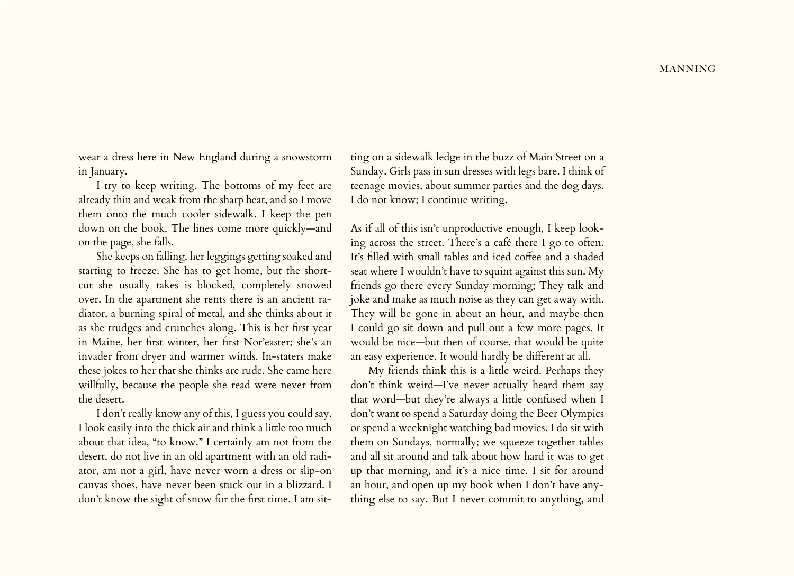wear a dress here in New England during a snowstorm in January.

I try to keep writing. The bottoms of my feet are already thin and weak from the sharp heat, and so I move them onto the much cooler sidewalk. I keep the pen down on the book. The lines come more quickly—and on the page, she falls.

She keeps on falling, her leggings getting soaked and starting to freeze. She has to get home, but the shortcut she usually takes is blocked, completely snowed over. In the apartment she rents there is an ancient radiator, a burning spiral of metal, and she thinks about it as she trudges and crunches along. This is her first year in Maine, her first winter, her first Nor'easter; she's an invader from dryer and warmer winds. In-staters make these jokes to her that she thinks are rude. She came here willfully, because the people she read were never from the desert.

I don't really know any of this, I guess you could say. I look easily into the thick air and think a little too much about that idea, "to know." I certainly am not from the desert, do not live in an old apartment with an old radiator, am not a girl, have never worn a dress or slip-on canvas shoes, have never been stuck out in a blizzard. I don't know the sight of snow for the first time. I am sit-

ting on a sidewalk ledge in the buzz of Main Street on a Sunday. Girls pass in sun dresses with legs bare. I think of teenage movies, about summer parties and the dog days. I do not know; I continue writing.

As if all of this isn't unproductive enough, I keep looking across the street. There's a café there I go to often. It's filled with small tables and iced coffee and a shaded seat where I wouldn't have to squint against this sun. My friends go there every Sunday morning; They talk and joke and make as much noise as they can get away with. They will be gone in about an hour, and maybe then I could go sit down and pull out a few more pages. It would be nice—but then of course, that would be quite an easy experience. It would hardly be different at all.

My friends think this is a little weird. Perhaps they don't think weird—I've never actually heard them say that word—but they're always a little confused when I don't want to spend a Saturday doing the Beer Olympics or spend a weeknight watching bad movies. I do sit with them on Sundays, normally; we squeeze together tables and all sit around and talk about how hard it was to get up that morning, and it's a nice time. I sit for around an hour, and open up my book when I don't have anything else to say. But I never commit to anything, and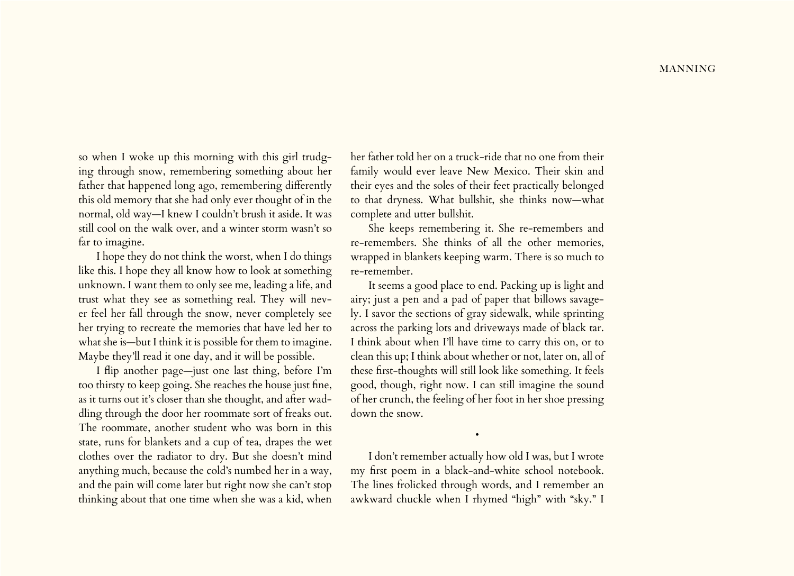so when I woke up this morning with this girl trudging through snow, remembering something about her father that happened long ago, remembering differently this old memory that she had only ever thought of in the normal, old way—I knew I couldn't brush it aside. It was still cool on the walk over, and a winter storm wasn't so far to imagine.

I hope they do not think the worst, when I do things like this. I hope they all know how to look at something unknown. I want them to only see me, leading a life, and trust what they see as something real. They will never feel her fall through the snow, never completely see her trying to recreate the memories that have led her to what she is—but I think it is possible for them to imagine. Maybe they'll read it one day, and it will be possible.

I flip another page—just one last thing, before I'm too thirsty to keep going. She reaches the house just fine, as it turns out it's closer than she thought, and after waddling through the door her roommate sort of freaks out. The roommate, another student who was born in this state, runs for blankets and a cup of tea, drapes the wet clothes over the radiator to dry. But she doesn't mind anything much, because the cold's numbed her in a way, and the pain will come later but right now she can't stop thinking about that one time when she was a kid, when

her father told her on a truck-ride that no one from their family would ever leave New Mexico. Their skin and their eyes and the soles of their feet practically belonged to that dryness. What bullshit, she thinks now—what complete and utter bullshit.

She keeps remembering it. She re-remembers and re-remembers. She thinks of all the other memories, wrapped in blankets keeping warm. There is so much to re-remember.

It seems a good place to end. Packing up is light and airy; just a pen and a pad of paper that billows savagely. I savor the sections of gray sidewalk, while sprinting across the parking lots and driveways made of black tar. I think about when I'll have time to carry this on, or to clean this up; I think about whether or not, later on, all of these first-thoughts will still look like something. It feels good, though, right now. I can still imagine the sound of her crunch, the feeling of her foot in her shoe pressing down the snow.

I don't remember actually how old I was, but I wrote my first poem in a black-and-white school notebook. The lines frolicked through words, and I remember an awkward chuckle when I rhymed "high" with "sky." I

•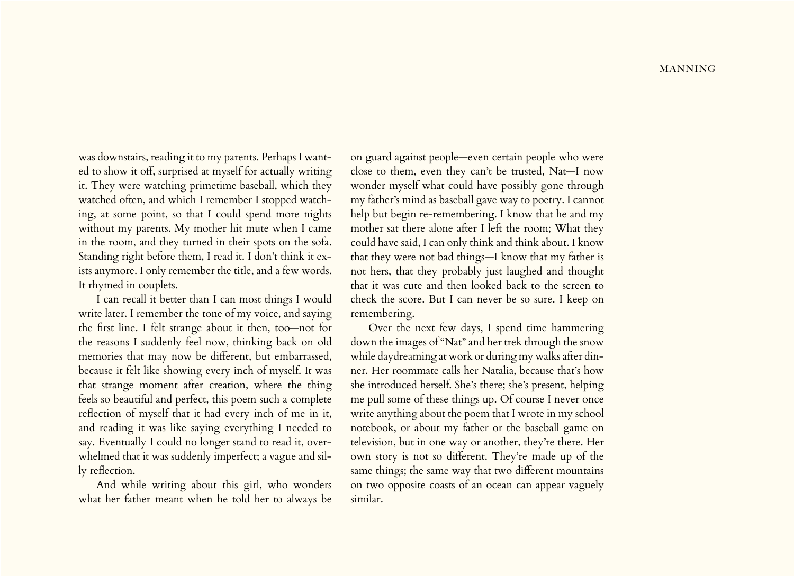was downstairs, reading it to my parents. Perhaps I wanted to show it off, surprised at myself for actually writing it. They were watching primetime baseball, which they watched often, and which I remember I stopped watching, at some point, so that I could spend more nights without my parents. My mother hit mute when I came in the room, and they turned in their spots on the sofa. Standing right before them, I read it. I don't think it exists anymore. I only remember the title, and a few words. It rhymed in couplets.

I can recall it better than I can most things I would write later. I remember the tone of my voice, and saying the first line. I felt strange about it then, too—not for the reasons I suddenly feel now, thinking back on old memories that may now be different, but embarrassed, because it felt like showing every inch of myself. It was that strange moment after creation, where the thing feels so beautiful and perfect, this poem such a complete reflection of myself that it had every inch of me in it, and reading it was like saying everything I needed to say. Eventually I could no longer stand to read it, overwhelmed that it was suddenly imperfect; a vague and silly reflection.

And while writing about this girl, who wonders what her father meant when he told her to always be

on guard against people—even certain people who were close to them, even they can't be trusted, Nat—I now wonder myself what could have possibly gone through my father's mind as baseball gave way to poetry. I cannot help but begin re-remembering. I know that he and my mother sat there alone after I left the room; What they could have said, I can only think and think about. I know that they were not bad things—I know that my father is not hers, that they probably just laughed and thought that it was cute and then looked back to the screen to check the score. But I can never be so sure. I keep on remembering.

Over the next few days, I spend time hammering down the images of "Nat" and her trek through the snow while daydreaming at work or during my walks after dinner. Her roommate calls her Natalia, because that's how she introduced herself. She's there; she's present, helping me pull some of these things up. Of course I never once write anything about the poem that I wrote in my school notebook, or about my father or the baseball game on television, but in one way or another, they're there. Her own story is not so different. They're made up of the same things; the same way that two different mountains on two opposite coasts of an ocean can appear vaguely similar.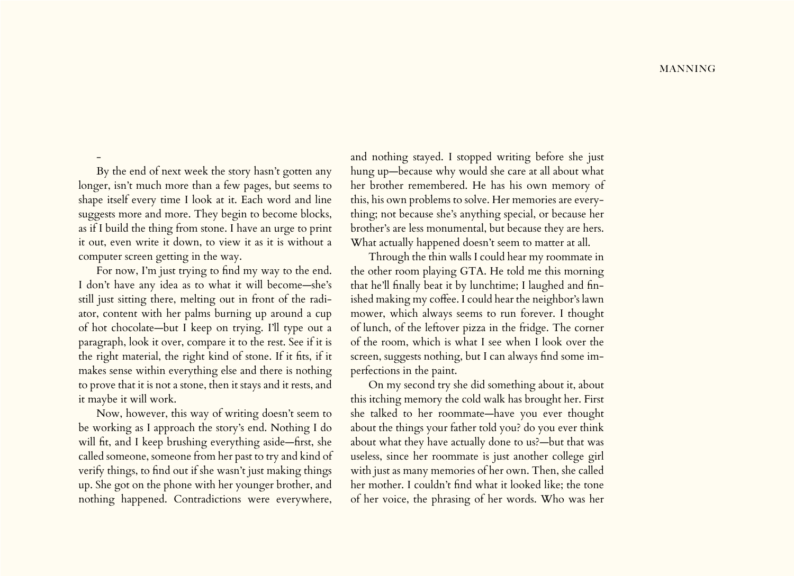## **MANNING**

By the end of next week the story hasn't gotten any longer, isn't much more than a few pages, but seems to shape itself every time I look at it. Each word and line suggests more and more. They begin to become blocks, as if I build the thing from stone. I have an urge to print it out, even write it down, to view it as it is without a computer screen getting in the way.

-

For now, I'm just trying to find my way to the end. I don't have any idea as to what it will become—she's still just sitting there, melting out in front of the radiator, content with her palms burning up around a cup of hot chocolate—but I keep on trying. I'll type out a paragraph, look it over, compare it to the rest. See if it is the right material, the right kind of stone. If it fits, if it makes sense within everything else and there is nothing to prove that it is not a stone, then it stays and it rests, and it maybe it will work.

Now, however, this way of writing doesn't seem to be working as I approach the story's end. Nothing I do will fit, and I keep brushing everything aside—first, she called someone, someone from her past to try and kind of verify things, to find out if she wasn't just making things up. She got on the phone with her younger brother, and nothing happened. Contradictions were everywhere,

and nothing stayed. I stopped writing before she just hung up—because why would she care at all about what her brother remembered. He has his own memory of this, his own problems to solve. Her memories are everything; not because she's anything special, or because her brother's are less monumental, but because they are hers. What actually happened doesn't seem to matter at all.

Through the thin walls I could hear my roommate in the other room playing GTA. He told me this morning that he'll finally beat it by lunchtime; I laughed and finished making my coffee. I could hear the neighbor's lawn mower, which always seems to run forever. I thought of lunch, of the leftover pizza in the fridge. The corner of the room, which is what I see when I look over the screen, suggests nothing, but I can always find some imperfections in the paint.

On my second try she did something about it, about this itching memory the cold walk has brought her. First she talked to her roommate—have you ever thought about the things your father told you? do you ever think about what they have actually done to us?—but that was useless, since her roommate is just another college girl with just as many memories of her own. Then, she called her mother. I couldn't find what it looked like; the tone of her voice, the phrasing of her words. Who was her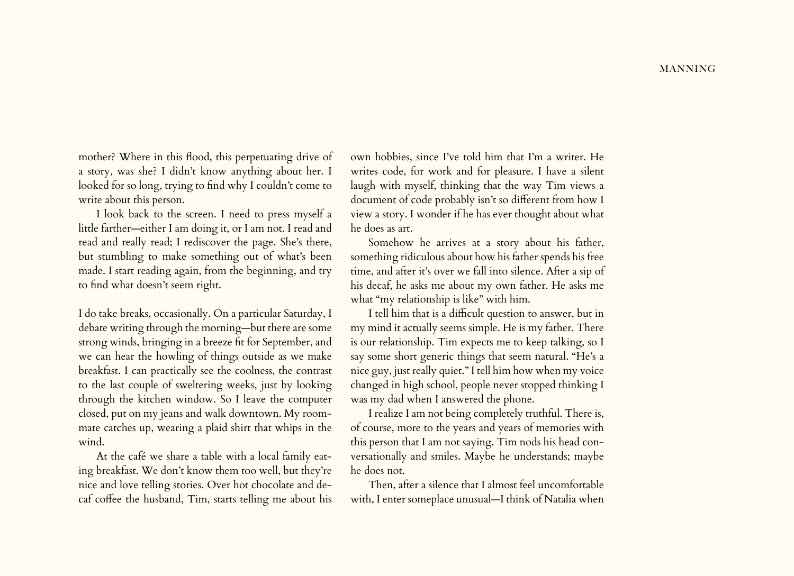mother? Where in this flood, this perpetuating drive of a story, was she? I didn't know anything about her. I looked for so long, trying to find why I couldn't come to write about this person.

I look back to the screen. I need to press myself a little farther—either I am doing it, or I am not. I read and read and really read; I rediscover the page. She's there, but stumbling to make something out of what's been made. I start reading again, from the beginning, and try to find what doesn't seem right.

I do take breaks, occasionally. On a particular Saturday, I debate writing through the morning—but there are some strong winds, bringing in a breeze fit for September, and we can hear the howling of things outside as we make breakfast. I can practically see the coolness, the contrast to the last couple of sweltering weeks, just by looking through the kitchen window. So I leave the computer closed, put on my jeans and walk downtown. My roommate catches up, wearing a plaid shirt that whips in the wind.

At the café we share a table with a local family eating breakfast. We don't know them too well, but they're nice and love telling stories. Over hot chocolate and decaf coffee the husband, Tim, starts telling me about his

own hobbies, since I've told him that I'm a writer. He writes code, for work and for pleasure. I have a silent laugh with myself, thinking that the way Tim views a document of code probably isn't so different from how I view a story. I wonder if he has ever thought about what he does as art.

Somehow he arrives at a story about his father, something ridiculous about how his father spends his free time, and after it's over we fall into silence. After a sip of his decaf, he asks me about my own father. He asks me what "my relationship is like" with him.

I tell him that is a difficult question to answer, but in my mind it actually seems simple. He is my father. There is our relationship. Tim expects me to keep talking, so I say some short generic things that seem natural. "He's a nice guy, just really quiet." I tell him how when my voice changed in high school, people never stopped thinking I was my dad when I answered the phone.

I realize I am not being completely truthful. There is, of course, more to the years and years of memories with this person that I am not saying. Tim nods his head conversationally and smiles. Maybe he understands; maybe he does not.

Then, after a silence that I almost feel uncomfortable with, I enter someplace unusual—I think of Natalia when